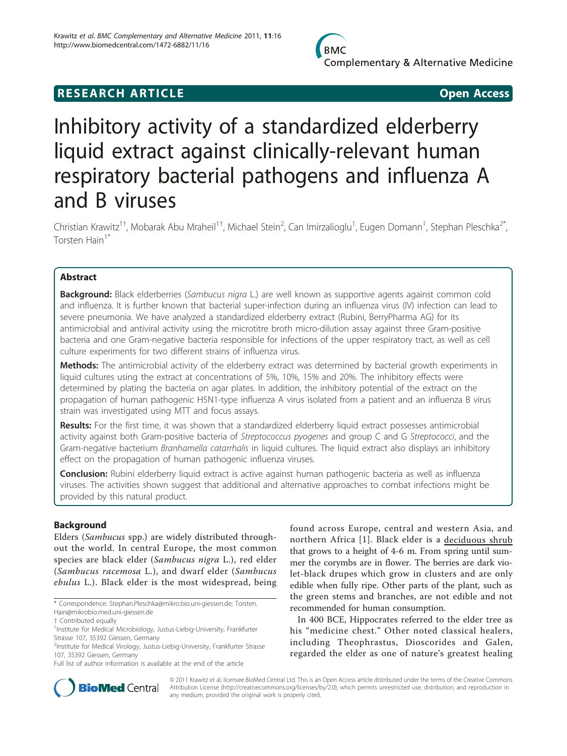## **RESEARCH ARTICLE Example 2018 CONSIDERING ACCESS**

# Inhibitory activity of a standardized elderberry liquid extract against clinically-relevant human respiratory bacterial pathogens and influenza A and B viruses

Christian Krawitz<sup>1†</sup>, Mobarak Abu Mraheil<sup>1†</sup>, Michael Stein<sup>2</sup>, Can Imirzalioglu<sup>1</sup>, Eugen Domann<sup>1</sup>, Stephan Pleschka<sup>2\*</sup>, Torsten Hain<sup>1\*</sup>

## Abstract

Background: Black elderberries (Sambucus nigra L.) are well known as supportive agents against common cold and influenza. It is further known that bacterial super-infection during an influenza virus (IV) infection can lead to severe pneumonia. We have analyzed a standardized elderberry extract (Rubini, BerryPharma AG) for its antimicrobial and antiviral activity using the microtitre broth micro-dilution assay against three Gram-positive bacteria and one Gram-negative bacteria responsible for infections of the upper respiratory tract, as well as cell culture experiments for two different strains of influenza virus.

Methods: The antimicrobial activity of the elderberry extract was determined by bacterial growth experiments in liquid cultures using the extract at concentrations of 5%, 10%, 15% and 20%. The inhibitory effects were determined by plating the bacteria on agar plates. In addition, the inhibitory potential of the extract on the propagation of human pathogenic H5N1-type influenza A virus isolated from a patient and an influenza B virus strain was investigated using MTT and focus assays.

Results: For the first time, it was shown that a standardized elderberry liquid extract possesses antimicrobial activity against both Gram-positive bacteria of Streptococcus pyogenes and group C and G Streptococci, and the Gram-negative bacterium Branhamella catarrhalis in liquid cultures. The liquid extract also displays an inhibitory effect on the propagation of human pathogenic influenza viruses.

Conclusion: Rubini elderberry liquid extract is active against human pathogenic bacteria as well as influenza viruses. The activities shown suggest that additional and alternative approaches to combat infections might be provided by this natural product.

## Background

Elders (Sambucus spp.) are widely distributed throughout the world. In central Europe, the most common species are black elder (Sambucus nigra L.), red elder (Sambucus racemosa L.), and dwarf elder (Sambucus ebulus L.). Black elder is the most widespread, being

found across Europe, central and western Asia, and northern Africa [[1\]](#page-5-0). Black elder is a deciduous shrub that grows to a height of 4-6 m. From spring until summer the corymbs are in flower. The berries are dark violet-black drupes which grow in clusters and are only edible when fully ripe. Other parts of the plant, such as the green stems and branches, are not edible and not recommended for human consumption.

In 400 BCE, Hippocrates referred to the elder tree as his "medicine chest." Other noted classical healers, including Theophrastus, Dioscorides and Galen, regarded the elder as one of nature's greatest healing



© 2011 Krawitz et al; licensee BioMed Central Ltd. This is an Open Access article distributed under the terms of the Creative Commons Attribution License [\(http://creativecommons.org/licenses/by/2.0](http://creativecommons.org/licenses/by/2.0)), which permits unrestricted use, distribution, and reproduction in any medium, provided the original work is properly cited.

<sup>\*</sup> Correspondence: [Stephan.Pleschka@mikro.bio.uni-giessen.de](mailto:Stephan.Pleschka@mikro.bio.uni-giessen.de); [Torsten.](mailto:Torsten.Hain@mikrobio.med.uni-giessen.de)

[Hain@mikrobio.med.uni-giessen.de](mailto:Torsten.Hain@mikrobio.med.uni-giessen.de) † Contributed equally <sup>1</sup>

<sup>&</sup>lt;sup>1</sup>Institute for Medical Microbiology, Justus-Liebig-University, Frankfurter Strasse 107, 35392 Giessen, Germany

<sup>&</sup>lt;sup>2</sup>Institute for Medical Virology, Justus-Liebig-University, Frankfurter Strasse 107, 35392 Giessen, Germany

Full list of author information is available at the end of the article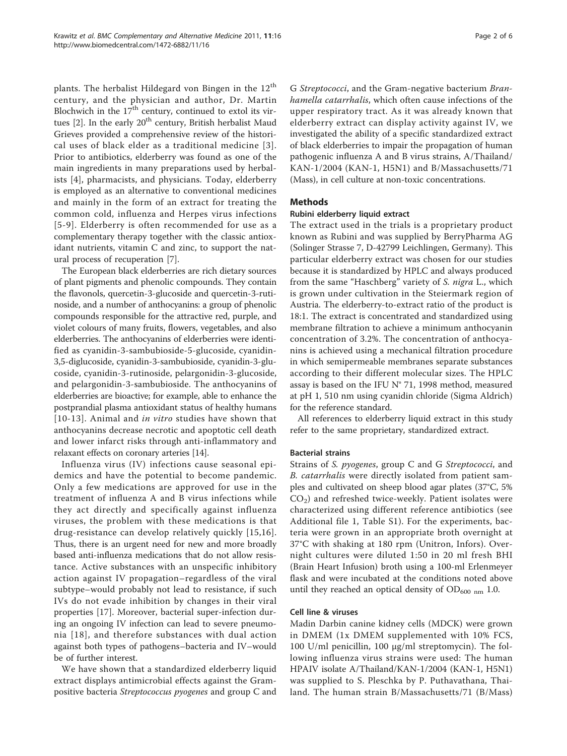plants. The herbalist Hildegard von Bingen in the  $12<sup>th</sup>$ century, and the physician and author, Dr. Martin Blochwich in the  $17<sup>th</sup>$  century, continued to extol its virtues  $[2]$  $[2]$ . In the early  $20<sup>th</sup>$  century, British herbalist Maud Grieves provided a comprehensive review of the historical uses of black elder as a traditional medicine [[3\]](#page-5-0). Prior to antibiotics, elderberry was found as one of the main ingredients in many preparations used by herbalists [\[4](#page-5-0)], pharmacists, and physicians. Today, elderberry is employed as an alternative to conventional medicines and mainly in the form of an extract for treating the common cold, influenza and Herpes virus infections [[5-9\]](#page-5-0). Elderberry is often recommended for use as a complementary therapy together with the classic antioxidant nutrients, vitamin C and zinc, to support the natural process of recuperation [\[7](#page-5-0)].

The European black elderberries are rich dietary sources of plant pigments and phenolic compounds. They contain the flavonols, quercetin-3-glucoside and quercetin-3-rutinoside, and a number of anthocyanins: a group of phenolic compounds responsible for the attractive red, purple, and violet colours of many fruits, flowers, vegetables, and also elderberries. The anthocyanins of elderberries were identified as cyanidin-3-sambubioside-5-glucoside, cyanidin-3,5-diglucoside, cyanidin-3-sambubioside, cyanidin-3-glucoside, cyanidin-3-rutinoside, pelargonidin-3-glucoside, and pelargonidin-3-sambubioside. The anthocyanins of elderberries are bioactive; for example, able to enhance the postprandial plasma antioxidant status of healthy humans [[10-13](#page-5-0)]. Animal and in vitro studies have shown that anthocyanins decrease necrotic and apoptotic cell death and lower infarct risks through anti-inflammatory and relaxant effects on coronary arteries [[14\]](#page-5-0).

Influenza virus (IV) infections cause seasonal epidemics and have the potential to become pandemic. Only a few medications are approved for use in the treatment of influenza A and B virus infections while they act directly and specifically against influenza viruses, the problem with these medications is that drug-resistance can develop relatively quickly [[15](#page-5-0),[16](#page-5-0)]. Thus, there is an urgent need for new and more broadly based anti-influenza medications that do not allow resistance. Active substances with an unspecific inhibitory action against IV propagation–regardless of the viral subtype–would probably not lead to resistance, if such IVs do not evade inhibition by changes in their viral properties [[17\]](#page-5-0). Moreover, bacterial super-infection during an ongoing IV infection can lead to severe pneumonia [[18\]](#page-5-0), and therefore substances with dual action against both types of pathogens–bacteria and IV–would be of further interest.

We have shown that a standardized elderberry liquid extract displays antimicrobial effects against the Grampositive bacteria Streptococcus pyogenes and group C and

G Streptococci, and the Gram-negative bacterium Branhamella catarrhalis, which often cause infections of the upper respiratory tract. As it was already known that elderberry extract can display activity against IV, we investigated the ability of a specific standardized extract of black elderberries to impair the propagation of human pathogenic influenza A and B virus strains, A/Thailand/ KAN-1/2004 (KAN-1, H5N1) and B/Massachusetts/71 (Mass), in cell culture at non-toxic concentrations.

## Methods

#### Rubini elderberry liquid extract

The extract used in the trials is a proprietary product known as Rubini and was supplied by BerryPharma AG (Solinger Strasse 7, D-42799 Leichlingen, Germany). This particular elderberry extract was chosen for our studies because it is standardized by HPLC and always produced from the same "Haschberg" variety of S. nigra L., which is grown under cultivation in the Steiermark region of Austria. The elderberry-to-extract ratio of the product is 18:1. The extract is concentrated and standardized using membrane filtration to achieve a minimum anthocyanin concentration of 3.2%. The concentration of anthocyanins is achieved using a mechanical filtration procedure in which semipermeable membranes separate substances according to their different molecular sizes. The HPLC assay is based on the IFU N° 71, 1998 method, measured at pH 1, 510 nm using cyanidin chloride (Sigma Aldrich) for the reference standard.

All references to elderberry liquid extract in this study refer to the same proprietary, standardized extract.

#### Bacterial strains

Strains of S. pyogenes, group C and G Streptococci, and B. catarrhalis were directly isolated from patient samples and cultivated on sheep blood agar plates (37°C, 5%  $CO<sub>2</sub>$ ) and refreshed twice-weekly. Patient isolates were characterized using different reference antibiotics (see Additional file [1,](#page-5-0) Table S1). For the experiments, bacteria were grown in an appropriate broth overnight at 37°C with shaking at 180 rpm (Unitron, Infors). Overnight cultures were diluted 1:50 in 20 ml fresh BHI (Brain Heart Infusion) broth using a 100-ml Erlenmeyer flask and were incubated at the conditions noted above until they reached an optical density of  $OD_{600 \text{ nm}}$  1.0.

#### Cell line & viruses

Madin Darbin canine kidney cells (MDCK) were grown in DMEM (1x DMEM supplemented with 10% FCS, 100 U/ml penicillin, 100 μg/ml streptomycin). The following influenza virus strains were used: The human HPAIV isolate A/Thailand/KAN-1/2004 (KAN-1, H5N1) was supplied to S. Pleschka by P. Puthavathana, Thailand. The human strain B/Massachusetts/71 (B/Mass)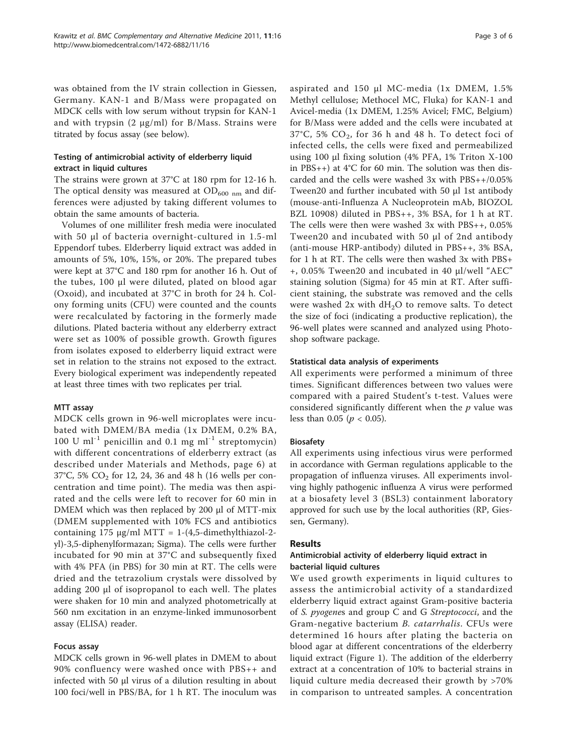was obtained from the IV strain collection in Giessen, Germany. KAN-1 and B/Mass were propagated on MDCK cells with low serum without trypsin for KAN-1 and with trypsin  $(2 \mu g/ml)$  for B/Mass. Strains were titrated by focus assay (see below).

## Testing of antimicrobial activity of elderberry liquid extract in liquid cultures

The strains were grown at 37°C at 180 rpm for 12-16 h. The optical density was measured at  $OD_{600 \text{ nm}}$  and differences were adjusted by taking different volumes to obtain the same amounts of bacteria.

Volumes of one milliliter fresh media were inoculated with 50 μl of bacteria overnight-cultured in 1.5-ml Eppendorf tubes. Elderberry liquid extract was added in amounts of 5%, 10%, 15%, or 20%. The prepared tubes were kept at 37°C and 180 rpm for another 16 h. Out of the tubes, 100 μl were diluted, plated on blood agar (Oxoid), and incubated at 37°C in broth for 24 h. Colony forming units (CFU) were counted and the counts were recalculated by factoring in the formerly made dilutions. Plated bacteria without any elderberry extract were set as 100% of possible growth. Growth figures from isolates exposed to elderberry liquid extract were set in relation to the strains not exposed to the extract. Every biological experiment was independently repeated at least three times with two replicates per trial.

## MTT assay

MDCK cells grown in 96-well microplates were incubated with DMEM/BA media (1x DMEM, 0.2% BA, 100 U ml<sup>-1</sup> penicillin and 0.1 mg ml<sup>-1</sup> streptomycin) with different concentrations of elderberry extract (as described under Materials and Methods, page 6) at 37°C, 5%  $CO_2$  for 12, 24, 36 and 48 h (16 wells per concentration and time point). The media was then aspirated and the cells were left to recover for 60 min in DMEM which was then replaced by 200 μl of MTT-mix (DMEM supplemented with 10% FCS and antibiotics containing 175 μg/ml MTT = 1-(4,5-dimethylthiazol-2 yl)-3,5-diphenylformazan; Sigma). The cells were further incubated for 90 min at 37°C and subsequently fixed with 4% PFA (in PBS) for 30 min at RT. The cells were dried and the tetrazolium crystals were dissolved by adding 200 μl of isopropanol to each well. The plates were shaken for 10 min and analyzed photometrically at 560 nm excitation in an enzyme-linked immunosorbent assay (ELISA) reader.

## Focus assay

MDCK cells grown in 96-well plates in DMEM to about 90% confluency were washed once with PBS++ and infected with 50 μl virus of a dilution resulting in about 100 foci/well in PBS/BA, for 1 h RT. The inoculum was aspirated and 150 μl MC-media (1x DMEM, 1.5% Methyl cellulose; Methocel MC, Fluka) for KAN-1 and Avicel-media (1x DMEM, 1.25% Avicel; FMC, Belgium) for B/Mass were added and the cells were incubated at 37°C, 5% CO2, for 36 h and 48 h. To detect foci of infected cells, the cells were fixed and permeabilized using 100 μl fixing solution (4% PFA, 1% Triton X-100 in PBS++) at  $4^{\circ}$ C for 60 min. The solution was then discarded and the cells were washed 3x with PBS++/0.05% Tween20 and further incubated with 50 μl 1st antibody (mouse-anti-Influenza A Nucleoprotein mAb, BIOZOL BZL 10908) diluted in PBS++, 3% BSA, for 1 h at RT. The cells were then were washed 3x with PBS++, 0.05% Tween20 and incubated with 50 μl of 2nd antibody (anti-mouse HRP-antibody) diluted in PBS++, 3% BSA, for 1 h at RT. The cells were then washed 3x with PBS+ +, 0.05% Tween20 and incubated in 40 μl/well "AEC" staining solution (Sigma) for 45 min at RT. After sufficient staining, the substrate was removed and the cells were washed  $2x$  with  $dH_2O$  to remove salts. To detect the size of foci (indicating a productive replication), the 96-well plates were scanned and analyzed using Photoshop software package.

## Statistical data analysis of experiments

All experiments were performed a minimum of three times. Significant differences between two values were compared with a paired Student's t-test. Values were considered significantly different when the  $p$  value was less than 0.05 ( $p < 0.05$ ).

## Biosafety

All experiments using infectious virus were performed in accordance with German regulations applicable to the propagation of influenza viruses. All experiments involving highly pathogenic influenza A virus were performed at a biosafety level 3 (BSL3) containment laboratory approved for such use by the local authorities (RP, Giessen, Germany).

## **Results**

## Antimicrobial activity of elderberry liquid extract in bacterial liquid cultures

We used growth experiments in liquid cultures to assess the antimicrobial activity of a standardized elderberry liquid extract against Gram-positive bacteria of S. pyogenes and group C and G Streptococci, and the Gram-negative bacterium B. catarrhalis. CFUs were determined 16 hours after plating the bacteria on blood agar at different concentrations of the elderberry liquid extract (Figure [1\)](#page-3-0). The addition of the elderberry extract at a concentration of 10% to bacterial strains in liquid culture media decreased their growth by >70% in comparison to untreated samples. A concentration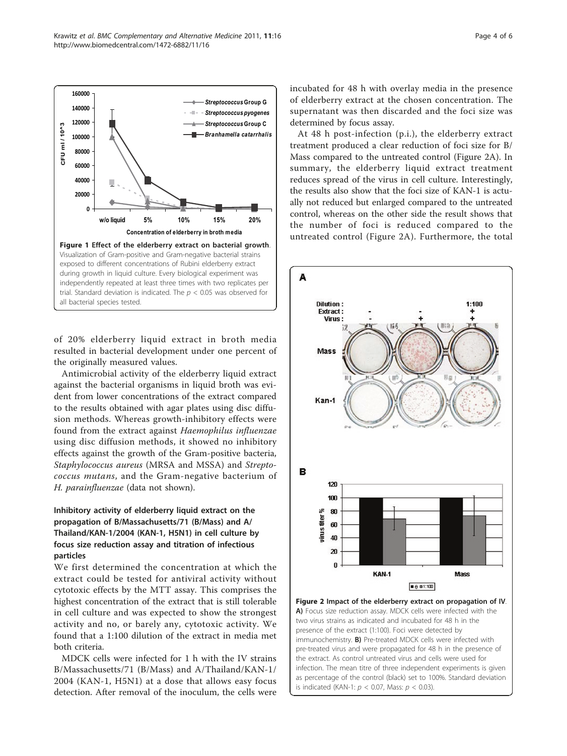<span id="page-3-0"></span>

of 20% elderberry liquid extract in broth media resulted in bacterial development under one percent of the originally measured values.

Antimicrobial activity of the elderberry liquid extract against the bacterial organisms in liquid broth was evident from lower concentrations of the extract compared to the results obtained with agar plates using disc diffusion methods. Whereas growth-inhibitory effects were found from the extract against Haemophilus influenzae using disc diffusion methods, it showed no inhibitory effects against the growth of the Gram-positive bacteria, Staphylococcus aureus (MRSA and MSSA) and Streptococcus mutans, and the Gram-negative bacterium of H. parainfluenzae (data not shown).

## Inhibitory activity of elderberry liquid extract on the propagation of B/Massachusetts/71 (B/Mass) and A/ Thailand/KAN-1/2004 (KAN-1, H5N1) in cell culture by focus size reduction assay and titration of infectious particles

We first determined the concentration at which the extract could be tested for antiviral activity without cytotoxic effects by the MTT assay. This comprises the highest concentration of the extract that is still tolerable in cell culture and was expected to show the strongest activity and no, or barely any, cytotoxic activity. We found that a 1:100 dilution of the extract in media met both criteria.

MDCK cells were infected for 1 h with the IV strains B/Massachusetts/71 (B/Mass) and A/Thailand/KAN-1/ 2004 (KAN-1, H5N1) at a dose that allows easy focus detection. After removal of the inoculum, the cells were incubated for 48 h with overlay media in the presence of elderberry extract at the chosen concentration. The supernatant was then discarded and the foci size was determined by focus assay.

At 48 h post-infection (p.i.), the elderberry extract treatment produced a clear reduction of foci size for B/ Mass compared to the untreated control (Figure 2A). In summary, the elderberry liquid extract treatment reduces spread of the virus in cell culture. Interestingly, the results also show that the foci size of KAN-1 is actually not reduced but enlarged compared to the untreated control, whereas on the other side the result shows that the number of foci is reduced compared to the untreated control (Figure 2A). Furthermore, the total



A) Focus size reduction assay. MDCK cells were infected with the two virus strains as indicated and incubated for 48 h in the presence of the extract (1:100). Foci were detected by immunochemistry. **B)** Pre-treated MDCK cells were infected with pre-treated virus and were propagated for 48 h in the presence of the extract. As control untreated virus and cells were used for infection. The mean titre of three independent experiments is given as percentage of the control (black) set to 100%. Standard deviation is indicated (KAN-1:  $p < 0.07$ , Mass:  $p < 0.03$ ).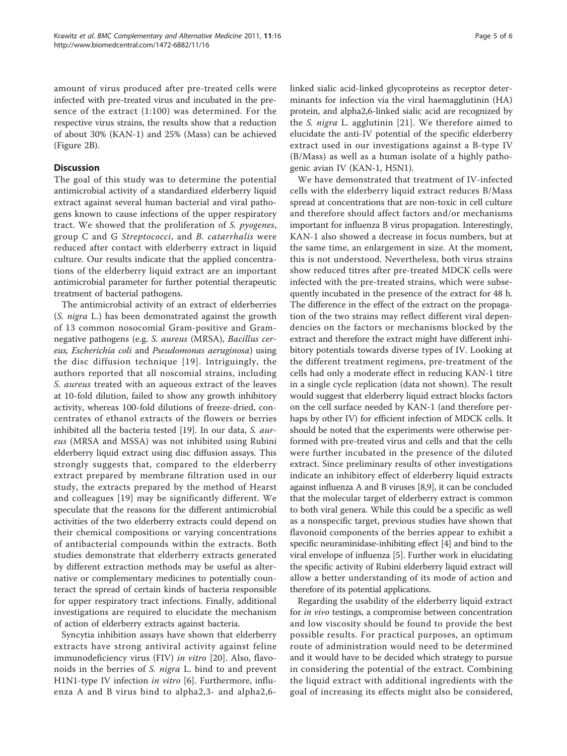amount of virus produced after pre-treated cells were infected with pre-treated virus and incubated in the presence of the extract (1:100) was determined. For the respective virus strains, the results show that a reduction of about 30% (KAN-1) and 25% (Mass) can be achieved (Figure [2B](#page-3-0)).

#### **Discussion**

The goal of this study was to determine the potential antimicrobial activity of a standardized elderberry liquid extract against several human bacterial and viral pathogens known to cause infections of the upper respiratory tract. We showed that the proliferation of S. pyogenes, group C and G Streptococci, and B. catarrhalis were reduced after contact with elderberry extract in liquid culture. Our results indicate that the applied concentrations of the elderberry liquid extract are an important antimicrobial parameter for further potential therapeutic treatment of bacterial pathogens.

The antimicrobial activity of an extract of elderberries (S. nigra L.) has been demonstrated against the growth of 13 common nosocomial Gram-positive and Gramnegative pathogens (e.g. S. aureus (MRSA), Bacillus cereus, Escherichia coli and Pseudomonas aeruginosa) using the disc diffusion technique [[19](#page-5-0)]. Intriguingly, the authors reported that all noscomial strains, including S. aureus treated with an aqueous extract of the leaves at 10-fold dilution, failed to show any growth inhibitory activity, whereas 100-fold dilutions of freeze-dried, concentrates of ethanol extracts of the flowers or berries inhibited all the bacteria tested [[19\]](#page-5-0). In our data, *S. aur*eus (MRSA and MSSA) was not inhibited using Rubini elderberry liquid extract using disc diffusion assays. This strongly suggests that, compared to the elderberry extract prepared by membrane filtration used in our study, the extracts prepared by the method of Hearst and colleagues [[19\]](#page-5-0) may be significantly different. We speculate that the reasons for the different antimicrobial activities of the two elderberry extracts could depend on their chemical compositions or varying concentrations of antibacterial compounds within the extracts. Both studies demonstrate that elderberry extracts generated by different extraction methods may be useful as alternative or complementary medicines to potentially counteract the spread of certain kinds of bacteria responsible for upper respiratory tract infections. Finally, additional investigations are required to elucidate the mechanism of action of elderberry extracts against bacteria.

Syncytia inhibition assays have shown that elderberry extracts have strong antiviral activity against feline immunodeficiency virus (FIV) in vitro [[20\]](#page-5-0). Also, flavonoids in the berries of *S. nigra* L. bind to and prevent H1N1-type IV infection in vitro [\[6](#page-5-0)]. Furthermore, influenza A and B virus bind to alpha2,3- and alpha2,6linked sialic acid-linked glycoproteins as receptor determinants for infection via the viral haemagglutinin (HA) protein, and alpha2,6-linked sialic acid are recognized by the S. nigra L. agglutinin [[21](#page-5-0)]. We therefore aimed to elucidate the anti-IV potential of the specific elderberry extract used in our investigations against a B-type IV (B/Mass) as well as a human isolate of a highly pathogenic avian IV (KAN-1, H5N1).

We have demonstrated that treatment of IV-infected cells with the elderberry liquid extract reduces B/Mass spread at concentrations that are non-toxic in cell culture and therefore should affect factors and/or mechanisms important for influenza B virus propagation. Interestingly, KAN-1 also showed a decrease in focus numbers, but at the same time, an enlargement in size. At the moment, this is not understood. Nevertheless, both virus strains show reduced titres after pre-treated MDCK cells were infected with the pre-treated strains, which were subsequently incubated in the presence of the extract for 48 h. The difference in the effect of the extract on the propagation of the two strains may reflect different viral dependencies on the factors or mechanisms blocked by the extract and therefore the extract might have different inhibitory potentials towards diverse types of IV. Looking at the different treatment regimens, pre-treatment of the cells had only a moderate effect in reducing KAN-1 titre in a single cycle replication (data not shown). The result would suggest that elderberry liquid extract blocks factors on the cell surface needed by KAN-1 (and therefore perhaps by other IV) for efficient infection of MDCK cells. It should be noted that the experiments were otherwise performed with pre-treated virus and cells and that the cells were further incubated in the presence of the diluted extract. Since preliminary results of other investigations indicate an inhibitory effect of elderberry liquid extracts against influenza A and B viruses [[8,9](#page-5-0)], it can be concluded that the molecular target of elderberry extract is common to both viral genera. While this could be a specific as well as a nonspecific target, previous studies have shown that flavonoid components of the berries appear to exhibit a specific neuraminidase-inhibiting effect [[4](#page-5-0)] and bind to the viral envelope of influenza [[5](#page-5-0)]. Further work in elucidating the specific activity of Rubini elderberry liquid extract will allow a better understanding of its mode of action and therefore of its potential applications.

Regarding the usability of the elderberry liquid extract for in vivo testings, a compromise between concentration and low viscosity should be found to provide the best possible results. For practical purposes, an optimum route of administration would need to be determined and it would have to be decided which strategy to pursue in considering the potential of the extract. Combining the liquid extract with additional ingredients with the goal of increasing its effects might also be considered,